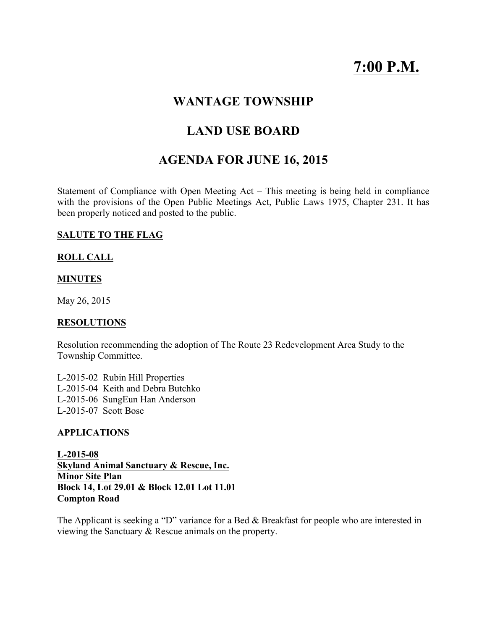# 7:00 P.M.

# WANTAGE TOWNSHIP

# LAND USE BOARD

# AGENDA FOR JUNE 16, 2015

Statement of Compliance with Open Meeting Act – This meeting is being held in compliance with the provisions of the Open Public Meetings Act, Public Laws 1975, Chapter 231. It has been properly noticed and posted to the public.

### SALUTE TO THE FLAG

### ROLL CALL

#### **MINUTES**

May 26, 2015

#### RESOLUTIONS

Resolution recommending the adoption of The Route 23 Redevelopment Area Study to the Township Committee.

L-2015-02 Rubin Hill Properties L-2015-04 Keith and Debra Butchko L-2015-06 SungEun Han Anderson L-2015-07 Scott Bose

#### APPLICATIONS

L-2015-08 Skyland Animal Sanctuary & Rescue, Inc. Minor Site Plan Block 14, Lot 29.01 & Block 12.01 Lot 11.01 Compton Road

The Applicant is seeking a "D" variance for a Bed & Breakfast for people who are interested in viewing the Sanctuary & Rescue animals on the property.